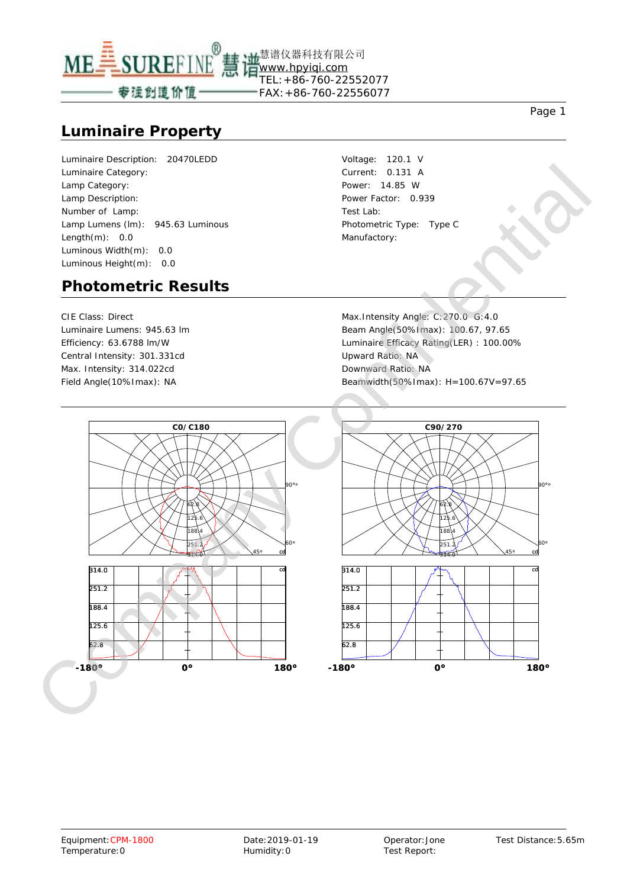

慧谱仪器科技有限公司

#### **Luminaire Property**

Luminaire Description: 20470LEDD Luminaire Category: Lamp Category: Lamp Description: Number of Lamp: Lamp Lumens (lm): 945.63 Luminous Length $(m)$ : 0.0 Luminous Width(m): 0.0 Luminous Height(m): 0.0

Voltage: 120.1 V Current: 0.131 A Power: 14.85 W Power Factor: 0.939 Test Lab: Photometric Type: Type C Manufactory:

#### **Photometric Results**

CIE Class: Direct Luminaire Lumens: 945.63 lm Efficiency: 63.6788 lm/W Central Intensity: 301.331cd Max. Intensity: 314.022cd

Max.Intensity Angle: C:270.0 G:4.0 Beam Angle(50%Imax): 100.67, 97.65 Luminaire Efficacy Rating(LER) : 100.00% Upward Ratio: NA Downward Ratio: NA Field Angle(10%Imax): NA Beamwidth(50%Imax): H=100.67V=97.65





90°°

60°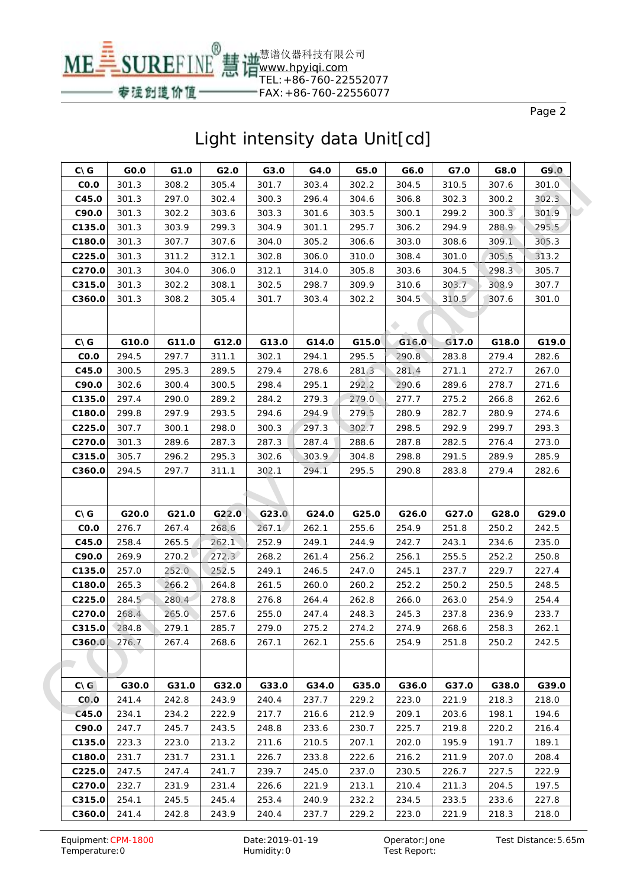

| $C\setminus G$  |       | GO.O  | G1.0  | G2.0  | G3.0  | G4.0  | G5.0  | G6.0  | G7.0  | G8.0  | G9.0  |
|-----------------|-------|-------|-------|-------|-------|-------|-------|-------|-------|-------|-------|
| CO.O            |       | 301.3 | 308.2 | 305.4 | 301.7 | 303.4 | 302.2 | 304.5 | 310.5 | 307.6 | 301.0 |
| C45.0           |       | 301.3 | 297.0 | 302.4 | 300.3 | 296.4 | 304.6 | 306.8 | 302.3 | 300.2 | 302.3 |
| C90.0           |       | 301.3 | 302.2 | 303.6 | 303.3 | 301.6 | 303.5 | 300.1 | 299.2 | 300.3 | 301.9 |
| C135.0          |       | 301.3 | 303.9 | 299.3 | 304.9 | 301.1 | 295.7 | 306.2 | 294.9 | 288.9 | 295.5 |
| C180.0          |       | 301.3 | 307.7 | 307.6 | 304.0 | 305.2 | 306.6 | 303.0 | 308.6 | 309.1 | 305.3 |
| C225.0          |       | 301.3 | 311.2 | 312.1 | 302.8 | 306.0 | 310.0 | 308.4 | 301.0 | 305.5 | 313.2 |
| C270.0          |       | 301.3 | 304.0 | 306.0 | 312.1 | 314.0 | 305.8 | 303.6 | 304.5 | 298.3 | 305.7 |
| C315.0          |       | 301.3 | 302.2 | 308.1 | 302.5 | 298.7 | 309.9 | 310.6 | 303.7 | 308.9 | 307.7 |
| C360.0          |       | 301.3 | 308.2 | 305.4 | 301.7 | 303.4 | 302.2 | 304.5 | 310.5 | 307.6 | 301.0 |
|                 |       |       |       |       |       |       |       |       |       |       |       |
|                 |       |       |       |       |       |       |       |       |       |       |       |
| $C\setminus G$  |       | G10.0 | G11.0 | G12.0 | G13.0 | G14.0 | G15.0 | G16.0 | G17.0 | G18.0 | G19.0 |
| CO.O            |       | 294.5 | 297.7 | 311.1 | 302.1 | 294.1 | 295.5 | 290.8 | 283.8 | 279.4 | 282.6 |
| C45.0           |       | 300.5 | 295.3 | 289.5 | 279.4 | 278.6 | 281.3 | 281.4 | 271.1 | 272.7 | 267.0 |
| C90.0           |       | 302.6 | 300.4 | 300.5 | 298.4 | 295.1 | 292.2 | 290.6 | 289.6 | 278.7 | 271.6 |
| C135.0          |       | 297.4 | 290.0 | 289.2 | 284.2 | 279.3 | 279.0 | 277.7 | 275.2 | 266.8 | 262.6 |
| C180.0          |       | 299.8 | 297.9 | 293.5 | 294.6 | 294.9 | 279.5 | 280.9 | 282.7 | 280.9 | 274.6 |
| C225.0          |       | 307.7 | 300.1 | 298.0 | 300.3 | 297.3 | 302.7 | 298.5 | 292.9 | 299.7 | 293.3 |
| C270.0          |       | 301.3 | 289.6 | 287.3 | 287.3 | 287.4 | 288.6 | 287.8 | 282.5 | 276.4 | 273.0 |
| C315.0          |       | 305.7 | 296.2 | 295.3 | 302.6 | 303.9 | 304.8 | 298.8 | 291.5 | 289.9 | 285.9 |
| C360.0          |       | 294.5 | 297.7 | 311.1 | 302.1 | 294.1 | 295.5 | 290.8 | 283.8 | 279.4 | 282.6 |
|                 |       |       |       |       |       |       |       |       |       |       |       |
| $C\setminus G$  |       | G20.0 | G21.0 | G22.0 | G23.0 | G24.0 | G25.0 | G26.0 | G27.0 | G28.0 | G29.0 |
| CO.O            |       | 276.7 | 267.4 | 268.6 | 267.1 | 262.1 | 255.6 | 254.9 | 251.8 | 250.2 | 242.5 |
| C45.0           |       | 258.4 | 265.5 | 262.1 | 252.9 | 249.1 | 244.9 | 242.7 | 243.1 | 234.6 | 235.0 |
| C90.0           |       | 269.9 | 270.2 | 272.3 | 268.2 | 261.4 | 256.2 | 256.1 | 255.5 | 252.2 | 250.8 |
| C135.0          |       | 257.0 | 252.0 | 252.5 | 249.1 | 246.5 | 247.0 | 245.1 | 237.7 | 229.7 | 227.4 |
| C180.0          |       | 265.3 | 266.2 | 264.8 | 261.5 | 260.0 | 260.2 | 252.2 | 250.2 | 250.5 | 248.5 |
| C225.0          |       | 284.5 | 280.4 | 278.8 | 276.8 | 264.4 | 262.8 | 266.0 | 263.0 | 254.9 | 254.4 |
| C270.0          |       | 268.4 | 265.0 | 257.6 | 255.0 | 247.4 | 248.3 | 245.3 | 237.8 | 236.9 | 233.7 |
| C315.0          | 284.8 |       | 279.1 | 285.7 | 279.0 | 275.2 | 274.2 | 274.9 | 268.6 | 258.3 | 262.1 |
| C360.0          |       | 276.7 | 267.4 | 268.6 | 267.1 | 262.1 | 255.6 | 254.9 | 251.8 | 250.2 | 242.5 |
|                 |       |       |       |       |       |       |       |       |       |       |       |
|                 |       |       |       |       |       |       |       |       |       |       |       |
| $C \setminus G$ |       | G30.0 | G31.0 | G32.0 | G33.0 | G34.0 | G35.0 | G36.0 | G37.0 | G38.0 | G39.0 |
| CO.0            |       | 241.4 | 242.8 | 243.9 | 240.4 | 237.7 | 229.2 | 223.0 | 221.9 | 218.3 | 218.0 |
| C45.0           |       | 234.1 | 234.2 | 222.9 | 217.7 | 216.6 | 212.9 | 209.1 | 203.6 | 198.1 | 194.6 |
| C90.0           |       | 247.7 | 245.7 | 243.5 | 248.8 | 233.6 | 230.7 | 225.7 | 219.8 | 220.2 | 216.4 |
| C135.0          |       | 223.3 | 223.0 | 213.2 | 211.6 | 210.5 | 207.1 | 202.0 | 195.9 | 191.7 | 189.1 |
| C180.0          |       | 231.7 | 231.7 | 231.1 | 226.7 | 233.8 | 222.6 | 216.2 | 211.9 | 207.0 | 208.4 |
| C225.0          |       | 247.5 | 247.4 | 241.7 | 239.7 | 245.0 | 237.0 | 230.5 | 226.7 | 227.5 | 222.9 |
| C270.0          |       | 232.7 | 231.9 | 231.4 | 226.6 | 221.9 | 213.1 | 210.4 | 211.3 | 204.5 | 197.5 |
| C315.0          |       | 254.1 | 245.5 | 245.4 | 253.4 | 240.9 | 232.2 | 234.5 | 233.5 | 233.6 | 227.8 |
| C360.0          |       | 241.4 | 242.8 | 243.9 | 240.4 | 237.7 | 229.2 | 223.0 | 221.9 | 218.3 | 218.0 |
|                 |       |       |       |       |       |       |       |       |       |       |       |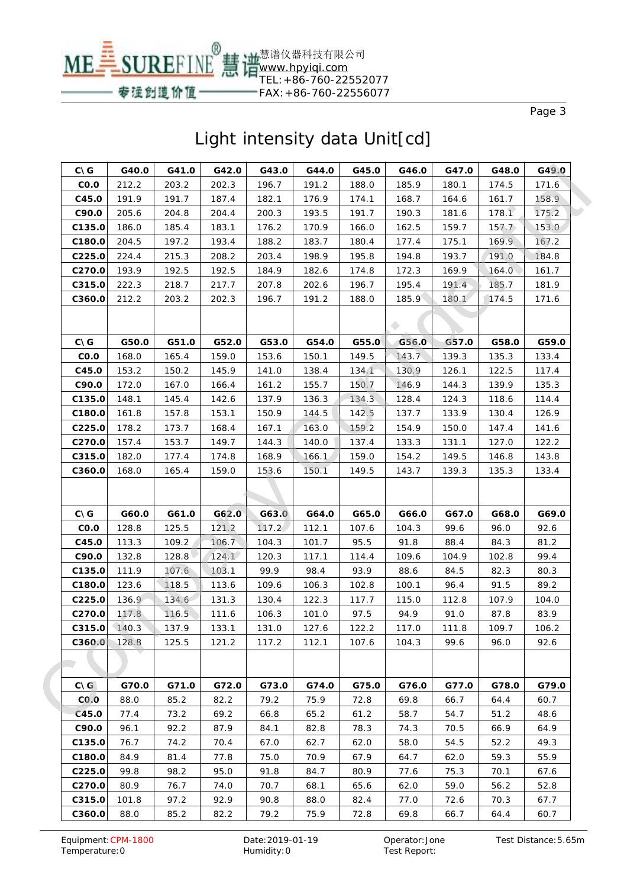

| <b>CNG</b>         | G40.0 | G41.0 | G42.0 | G43.0 | G44.0 | G45.0 | G46.0 | G47.0 | G48.0 | G49.0 |
|--------------------|-------|-------|-------|-------|-------|-------|-------|-------|-------|-------|
| CO.O               | 212.2 | 203.2 | 202.3 | 196.7 | 191.2 | 188.0 | 185.9 | 180.1 | 174.5 | 171.6 |
| C45.0              | 191.9 | 191.7 | 187.4 | 182.1 | 176.9 | 174.1 | 168.7 | 164.6 | 161.7 | 158.9 |
| C90.0              | 205.6 | 204.8 | 204.4 | 200.3 | 193.5 | 191.7 | 190.3 | 181.6 | 178.1 | 175.2 |
| C135.0             | 186.0 | 185.4 | 183.1 | 176.2 | 170.9 | 166.0 | 162.5 | 159.7 | 157.7 | 153.0 |
| C180.0             | 204.5 | 197.2 | 193.4 | 188.2 | 183.7 | 180.4 | 177.4 | 175.1 | 169.9 | 167.2 |
| C225.0             | 224.4 | 215.3 | 208.2 | 203.4 | 198.9 | 195.8 | 194.8 | 193.7 | 191.0 | 184.8 |
| C270.0             | 193.9 | 192.5 | 192.5 | 184.9 | 182.6 | 174.8 | 172.3 | 169.9 | 164.0 | 161.7 |
| C315.0             | 222.3 | 218.7 | 217.7 | 207.8 | 202.6 | 196.7 | 195.4 | 191.4 | 185.7 | 181.9 |
| C360.0             | 212.2 | 203.2 | 202.3 | 196.7 | 191.2 | 188.0 | 185.9 | 180.1 | 174.5 | 171.6 |
|                    |       |       |       |       |       |       |       |       |       |       |
| <b>CNG</b>         | G50.0 | G51.0 | G52.0 | G53.0 | G54.0 | G55.0 | G56.0 | G57.0 | G58.0 | G59.0 |
| CO.O               | 168.0 | 165.4 | 159.0 | 153.6 | 150.1 | 149.5 | 143.7 | 139.3 | 135.3 | 133.4 |
| C45.0              | 153.2 | 150.2 | 145.9 | 141.0 | 138.4 | 134.1 | 130.9 | 126.1 | 122.5 | 117.4 |
| C90.0              | 172.0 | 167.0 | 166.4 | 161.2 | 155.7 | 150.7 | 146.9 | 144.3 | 139.9 | 135.3 |
| C135.0             | 148.1 | 145.4 | 142.6 | 137.9 | 136.3 | 134.3 | 128.4 | 124.3 | 118.6 | 114.4 |
| C180.0             | 161.8 | 157.8 | 153.1 | 150.9 | 144.5 | 142.5 | 137.7 | 133.9 | 130.4 | 126.9 |
| C225.0             | 178.2 | 173.7 | 168.4 | 167.1 | 163.0 | 159.2 | 154.9 | 150.0 | 147.4 | 141.6 |
| C <sub>270.0</sub> | 157.4 | 153.7 | 149.7 | 144.3 | 140.0 | 137.4 | 133.3 | 131.1 | 127.0 | 122.2 |
| C315.0             | 182.0 | 177.4 | 174.8 | 168.9 | 166.1 | 159.0 | 154.2 | 149.5 | 146.8 | 143.8 |
| C360.0             | 168.0 | 165.4 | 159.0 | 153.6 | 150.1 | 149.5 | 143.7 | 139.3 | 135.3 | 133.4 |
|                    |       |       |       |       |       |       |       |       |       |       |
| $C\setminus G$     | G60.0 | G61.0 | G62.0 | G63.0 | G64.0 | G65.0 | G66.0 | G67.0 | G68.0 | G69.0 |
| CO.O               | 128.8 | 125.5 | 121.2 | 117.2 | 112.1 | 107.6 | 104.3 | 99.6  | 96.0  | 92.6  |
| C45.0              | 113.3 | 109.2 | 106.7 | 104.3 | 101.7 | 95.5  | 91.8  | 88.4  | 84.3  | 81.2  |
| C90.0              | 132.8 | 128.8 | 124.1 | 120.3 | 117.1 | 114.4 | 109.6 | 104.9 | 102.8 | 99.4  |
| C135.0             | 111.9 | 107.6 | 103.1 | 99.9  | 98.4  | 93.9  | 88.6  | 84.5  | 82.3  | 80.3  |
| C180.0             | 123.6 | 118.5 | 113.6 | 109.6 | 106.3 | 102.8 | 100.1 | 96.4  | 91.5  | 89.2  |
| C225.0             | 136.9 | 134.6 | 131.3 | 130.4 | 122.3 | 117.7 | 115.0 | 112.8 | 107.9 | 104.0 |
| C270.0             | 117.8 | 116.5 | 111.6 | 106.3 | 101.0 | 97.5  | 94.9  | 91.0  | 87.8  | 83.9  |
| $C315.0$ 140.3     |       | 137.9 | 133.1 | 131.0 | 127.6 | 122.2 | 117.0 | 111.8 | 109.7 | 106.2 |
| C360.0             | 128.8 | 125.5 | 121.2 | 117.2 | 112.1 | 107.6 | 104.3 | 99.6  | 96.0  | 92.6  |
|                    |       |       |       |       |       |       |       |       |       |       |
| $C\setminus G$     | G70.0 | G71.0 | G72.0 | G73.0 | G74.0 | G75.0 | G76.0 | G77.0 | G78.0 | G79.0 |
| CO.0               | 88.0  | 85.2  | 82.2  | 79.2  | 75.9  | 72.8  | 69.8  | 66.7  | 64.4  | 60.7  |
| C45.0              | 77.4  | 73.2  | 69.2  | 66.8  | 65.2  | 61.2  | 58.7  | 54.7  | 51.2  | 48.6  |
| C90.0              | 96.1  | 92.2  | 87.9  | 84.1  | 82.8  | 78.3  | 74.3  | 70.5  | 66.9  | 64.9  |
| C135.0             | 76.7  | 74.2  | 70.4  | 67.0  | 62.7  | 62.0  | 58.0  | 54.5  | 52.2  | 49.3  |
| C180.0             | 84.9  | 81.4  | 77.8  | 75.0  | 70.9  | 67.9  | 64.7  | 62.0  | 59.3  | 55.9  |
| C225.0             | 99.8  | 98.2  | 95.0  | 91.8  | 84.7  | 80.9  | 77.6  | 75.3  | 70.1  | 67.6  |
| C <sub>270.0</sub> | 80.9  | 76.7  | 74.0  | 70.7  | 68.1  | 65.6  | 62.0  | 59.0  | 56.2  | 52.8  |
| C315.0             | 101.8 | 97.2  | 92.9  | 90.8  | 88.0  | 82.4  | 77.0  | 72.6  | 70.3  | 67.7  |
| C360.0             | 88.0  | 85.2  | 82.2  | 79.2  | 75.9  | 72.8  | 69.8  | 66.7  | 64.4  | 60.7  |
|                    |       |       |       |       |       |       |       |       |       |       |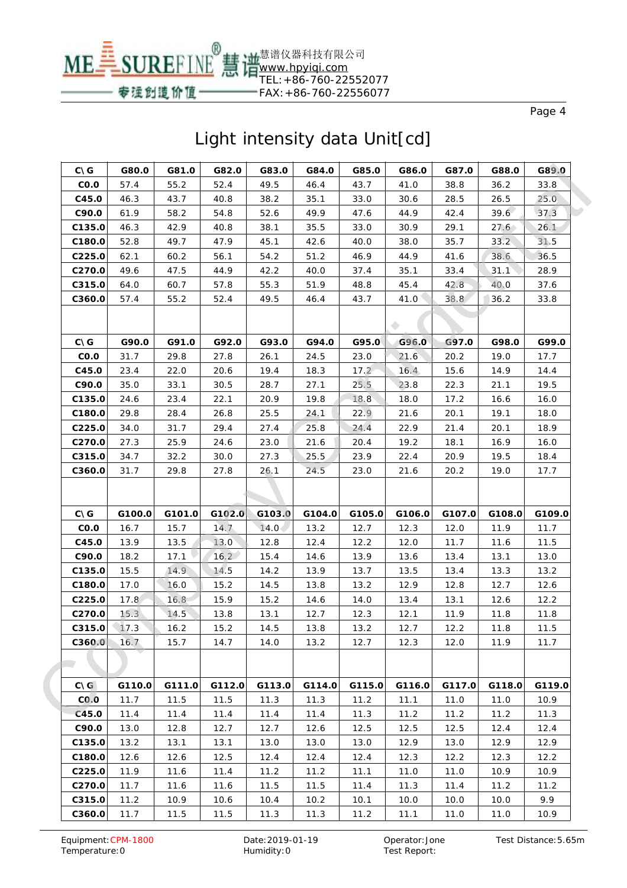

| $C\setminus G$  | G80.0  | G81.0  | G82.0  | G83.0  | G84.0  | G85.0  | G86.0  | G87.0  | G88.0  | G89.0  |
|-----------------|--------|--------|--------|--------|--------|--------|--------|--------|--------|--------|
| CO.O            | 57.4   | 55.2   | 52.4   | 49.5   | 46.4   | 43.7   | 41.0   | 38.8   | 36.2   | 33.8   |
| C45.0           | 46.3   | 43.7   | 40.8   | 38.2   | 35.1   | 33.0   | 30.6   | 28.5   | 26.5   | 25.0   |
| C90.0           | 61.9   | 58.2   | 54.8   | 52.6   | 49.9   | 47.6   | 44.9   | 42.4   | 39.6   | 37.3   |
| C135.0          | 46.3   | 42.9   | 40.8   | 38.1   | 35.5   | 33.0   | 30.9   | 29.1   | 27.6   | 26.1   |
| C180.0          | 52.8   | 49.7   | 47.9   | 45.1   | 42.6   | 40.0   | 38.0   | 35.7   | 33.2   | 31.5   |
| C225.0          | 62.1   | 60.2   | 56.1   | 54.2   | 51.2   | 46.9   | 44.9   | 41.6   | 38.6   | 36.5   |
| C270.0          | 49.6   | 47.5   | 44.9   | 42.2   | 40.0   | 37.4   | 35.1   | 33.4   | 31.1   | 28.9   |
| C315.0          | 64.0   | 60.7   | 57.8   | 55.3   | 51.9   | 48.8   | 45.4   | 42.8   | 40.0   | 37.6   |
| C360.0          | 57.4   | 55.2   | 52.4   | 49.5   | 46.4   | 43.7   | 41.0   | 38.8   | 36.2   | 33.8   |
|                 |        |        |        |        |        |        |        |        |        |        |
|                 |        |        |        |        |        |        |        |        |        |        |
| $C\setminus G$  | G90.0  | G91.0  | G92.0  | G93.0  | G94.0  | G95.0  | G96.0  | G97.0  | G98.0  | G99.0  |
| CO.O            | 31.7   | 29.8   | 27.8   | 26.1   | 24.5   | 23.0   | 21.6   | 20.2   | 19.0   | 17.7   |
| C45.0           | 23.4   | 22.0   | 20.6   | 19.4   | 18.3   | 17.2   | 16.4   | 15.6   | 14.9   | 14.4   |
| C90.0           | 35.0   | 33.1   | 30.5   | 28.7   | 27.1   | 25.5   | 23.8   | 22.3   | 21.1   | 19.5   |
| C135.0          | 24.6   | 23.4   | 22.1   | 20.9   | 19.8   | 18.8   | 18.0   | 17.2   | 16.6   | 16.0   |
| C180.0          | 29.8   | 28.4   | 26.8   | 25.5   | 24.1   | 22.9   | 21.6   | 20.1   | 19.1   | 18.0   |
| C225.0          | 34.0   | 31.7   | 29.4   | 27.4   | 25.8   | 24.4   | 22.9   | 21.4   | 20.1   | 18.9   |
| C270.0          | 27.3   | 25.9   | 24.6   | 23.0   | 21.6   | 20.4   | 19.2   | 18.1   | 16.9   | 16.0   |
| C315.0          | 34.7   | 32.2   | 30.0   | 27.3   | 25.5   | 23.9   | 22.4   | 20.9   | 19.5   | 18.4   |
| C360.0          | 31.7   | 29.8   | 27.8   | 26.1   | 24.5   | 23.0   | 21.6   | 20.2   | 19.0   | 17.7   |
|                 |        |        |        |        |        |        |        |        |        |        |
| <b>CNG</b>      | G100.0 | G101.0 | G102.0 | G103.0 | G104.0 | G105.0 | G106.0 | G107.0 | G108.0 | G109.0 |
| CO.O            | 16.7   | 15.7   | 14.7   | 14.0   | 13.2   | 12.7   | 12.3   | 12.0   | 11.9   | 11.7   |
| C45.0           | 13.9   | 13.5   | 13.0   | 12.8   | 12.4   | 12.2   | 12.0   | 11.7   | 11.6   | 11.5   |
| C90.0           | 18.2   | 17.1   | 16.2   | 15.4   | 14.6   | 13.9   | 13.6   | 13.4   | 13.1   | 13.0   |
| C135.0          | 15.5   | 14.9   | 14.5   | 14.2   | 13.9   | 13.7   | 13.5   | 13.4   | 13.3   | 13.2   |
| C180.0          | 17.0   | 16.0   | 15.2   | 14.5   | 13.8   | 13.2   | 12.9   | 12.8   | 12.7   | 12.6   |
| C225.0          | 17.8   | 16.8   | 15.9   | 15.2   | 14.6   | 14.0   | 13.4   | 13.1   | 12.6   | 12.2   |
| C270.0          | 15.3   | 14.5   | 13.8   | 13.1   | 12.7   | 12.3   | 12.1   | 11.9   | 11.8   | 11.8   |
| C315.0          | 17.3   | 16.2   | 15.2   | 14.5   | 13.8   | 13.2   | 12.7   | 12.2   | 11.8   | 11.5   |
| C360.0          | 16.7   | 15.7   | 14.7   | 14.0   | 13.2   | 12.7   | 12.3   | 12.0   | 11.9   | 11.7   |
|                 |        |        |        |        |        |        |        |        |        |        |
| $C \setminus G$ | G110.0 | G111.0 | G112.0 | G113.0 | G114.0 | G115.0 | G116.0 | G117.0 | G118.0 | G119.0 |
| CO.O            | 11.7   | 11.5   | 11.5   | 11.3   | 11.3   | 11.2   | 11.1   | 11.0   | 11.0   | 10.9   |
| C45.0           | 11.4   | 11.4   | 11.4   | 11.4   | 11.4   | 11.3   | 11.2   | 11.2   | 11.2   | 11.3   |
| C90.0           | 13.0   | 12.8   | 12.7   | 12.7   | 12.6   | 12.5   | 12.5   | 12.5   | 12.4   | 12.4   |
| C135.0          | 13.2   | 13.1   | 13.1   | 13.0   | 13.0   | 13.0   | 12.9   | 13.0   | 12.9   | 12.9   |
| C180.0          | 12.6   | 12.6   | 12.5   | 12.4   | 12.4   | 12.4   | 12.3   | 12.2   | 12.3   | 12.2   |
| C225.0          | 11.9   | 11.6   | 11.4   | 11.2   | 11.2   | 11.1   | 11.0   | 11.0   | 10.9   | 10.9   |
| C270.0          | 11.7   | 11.6   | 11.6   | 11.5   | 11.5   | 11.4   | 11.3   | 11.4   | 11.2   | 11.2   |
| C315.0          | 11.2   | 10.9   | 10.6   | 10.4   | 10.2   | 10.1   | 10.0   | 10.0   | 10.0   | 9.9    |
| C360.0          | 11.7   | 11.5   | 11.5   | 11.3   | 11.3   | 11.2   | 11.1   | 11.0   | 11.0   | 10.9   |
|                 |        |        |        |        |        |        |        |        |        |        |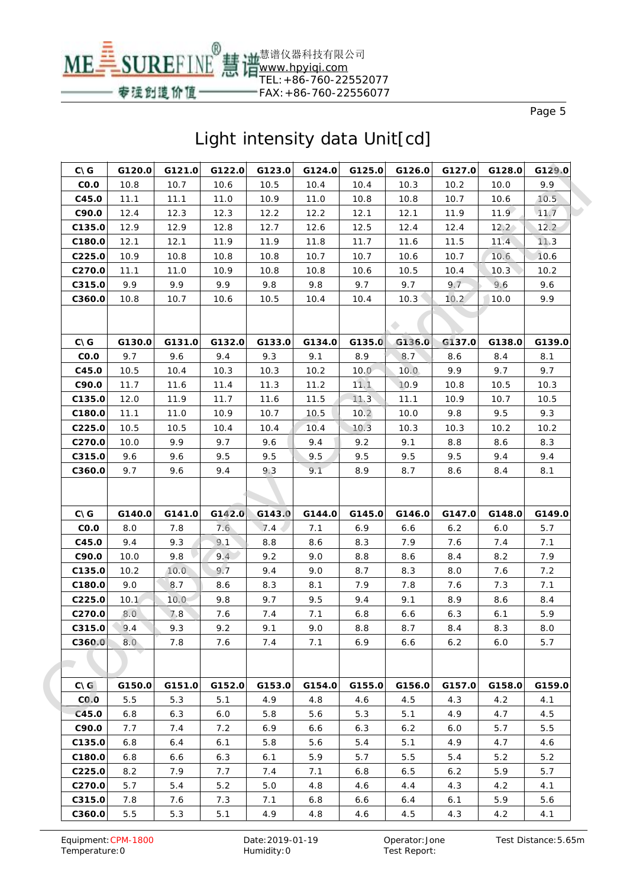

| $C\setminus G$ | G120.0 | G121.0 | G122.0 | G123.0 | G124.0 | G125.0 | G126.0 | G127.0 | G128.0   | G129.0         |
|----------------|--------|--------|--------|--------|--------|--------|--------|--------|----------|----------------|
| CO.O           | 10.8   | 10.7   | 10.6   | 10.5   | 10.4   | 10.4   | 10.3   | 10.2   | 10.0     | 9.9            |
| C45.0          | 11.1   | 11.1   | 11.0   | 10.9   | 11.0   | 10.8   | 10.8   | 10.7   | 10.6     | 10.5           |
| C90.0          | 12.4   | 12.3   | 12.3   | 12.2   | 12.2   | 12.1   | 12.1   | 11.9   | $11.9 -$ | 11.7           |
| C135.0         | 12.9   | 12.9   | 12.8   | 12.7   | 12.6   | 12.5   | 12.4   | 12.4   | 12.2     | $12.2^{\circ}$ |
| C180.0         | 12.1   | 12.1   | 11.9   | 11.9   | 11.8   | 11.7   | 11.6   | 11.5   | 11.4     | 11.3           |
| C225.0         | 10.9   | 10.8   | 10.8   | 10.8   | 10.7   | 10.7   | 10.6   | 10.7   | 10.6     | 10.6           |
| C270.0         | 11.1   | 11.0   | 10.9   | 10.8   | 10.8   | 10.6   | 10.5   | 10.4   | 10.3     | 10.2           |
| C315.0         | 9.9    | 9.9    | 9.9    | 9.8    | 9.8    | 9.7    | 9.7    | 9.7    | 9.6      | 9.6            |
| C360.0         | 10.8   | 10.7   | 10.6   | 10.5   | 10.4   | 10.4   | 10.3   | 10.2   | 10.0     | 9.9            |
|                |        |        |        |        |        |        |        |        |          |                |
| $C\setminus G$ | G130.0 | G131.0 | G132.0 | G133.0 | G134.0 | G135.0 | G136.0 | G137.0 | G138.0   | G139.0         |
| CO.O           | 9.7    | 9.6    | 9.4    | 9.3    | 9.1    | 8.9    | 8.7    | 8.6    | 8.4      | 8.1            |
| C45.0          | 10.5   | 10.4   | 10.3   | 10.3   | 10.2   | 10.0   | 10.0   | 9.9    | 9.7      | 9.7            |
| C90.0          | 11.7   | 11.6   | 11.4   | 11.3   | 11.2   | 11.1   | 10.9   | 10.8   | 10.5     | 10.3           |
| C135.0         | 12.0   | 11.9   | 11.7   | 11.6   | 11.5   | 11.3   | 11.1   | 10.9   | 10.7     | 10.5           |
| C180.0         | 11.1   | 11.0   | 10.9   | 10.7   | 10.5   | 10.2   | 10.0   | 9.8    | 9.5      | 9.3            |
| C225.0         | 10.5   | 10.5   | 10.4   | 10.4   | 10.4   | 10.3   | 10.3   | 10.3   | 10.2     | 10.2           |
| C270.0         | 10.0   | 9.9    | 9.7    | 9.6    | 9.4    | 9.2    | 9.1    | 8.8    | 8.6      | 8.3            |
| C315.0         | 9.6    | 9.6    | 9.5    | 9.5    | 9.5    | 9.5    | 9.5    | 9.5    | 9.4      | 9.4            |
| C360.0         | 9.7    | 9.6    | 9.4    | 9.3    | 9.1    | 8.9    | 8.7    | 8.6    | 8.4      | 8.1            |
|                |        |        |        |        |        |        |        |        |          |                |
| $C\setminus G$ | G140.0 | G141.0 | G142.0 | G143.0 | G144.0 | G145.0 | G146.0 | G147.0 | G148.0   | G149.0         |
| CO.O           | 8.0    | 7.8    | 7.6    | 7.4    | 7.1    | 6.9    | 6.6    | 6.2    | 6.0      | 5.7            |
| C45.0          | 9.4    | 9.3    | 9.1    | 8.8    | 8.6    | 8.3    | 7.9    | 7.6    | 7.4      | 7.1            |
| C90.0          | 10.0   | 9.8    | 9.4    | 9.2    | 9.0    | 8.8    | 8.6    | 8.4    | 8.2      | 7.9            |
| C135.0         | 10.2   | 10.0   | 9.7    | 9.4    | 9.0    | 8.7    | 8.3    | 8.0    | 7.6      | 7.2            |
| C180.0         | 9.0    | 8.7    | 8.6    | 8.3    | 8.1    | 7.9    | 7.8    | 7.6    | 7.3      | 7.1            |
| C225.0         | 10.1   | 10.0   | 9.8    | 9.7    | 9.5    | 9.4    | 9.1    | 8.9    | 8.6      | 8.4            |
| C270.0         | 8.0    | 7.8    | 7.6    | 7.4    | 7.1    | 6.8    | 6.6    | 6.3    | 6.1      | 5.9            |
| C315.0         | 9.4    | 9.3    | 9.2    | 9.1    | 9.0    | 8.8    | 8.7    | 8.4    | 8.3      | 8.0            |
| C360.0         | 8.0    | 7.8    | 7.6    | 7.4    | 7.1    | 6.9    | 6.6    | 6.2    | 6.0      | 5.7            |
|                |        |        |        |        |        |        |        |        |          |                |
| $C\setminus G$ | G150.0 | G151.0 | G152.0 | G153.0 | G154.0 | G155.0 | G156.0 | G157.0 | G158.0   | G159.0         |
| CO.O           | 5.5    | 5.3    | 5.1    | 4.9    | 4.8    | 4.6    | 4.5    | 4.3    | 4.2      | 4.1            |
| C45.0          | 6.8    | 6.3    | 6.0    | 5.8    | 5.6    | 5.3    | 5.1    | 4.9    | 4.7      | 4.5            |
| C90.0          | 7.7    | 7.4    | 7.2    | 6.9    | 6.6    | 6.3    | 6.2    | 6.0    | 5.7      | 5.5            |
| C135.0         | 6.8    | 6.4    | 6.1    | 5.8    | 5.6    | 5.4    | 5.1    | 4.9    | 4.7      | 4.6            |
| C180.0         | 6.8    | 6.6    | 6.3    | 6.1    | 5.9    | 5.7    | 5.5    | 5.4    | 5.2      | 5.2            |
| C225.0         | 8.2    | 7.9    | 7.7    | 7.4    | 7.1    | 6.8    | 6.5    | 6.2    | 5.9      | 5.7            |
| C270.0         | 5.7    | 5.4    | 5.2    | 5.0    | 4.8    | 4.6    | 4.4    | 4.3    | 4.2      | 4.1            |
| C315.0         | 7.8    | 7.6    | 7.3    | 7.1    | 6.8    | 6.6    | 6.4    | 6.1    | 5.9      | 5.6            |
| C360.0         | 5.5    | 5.3    | 5.1    | 4.9    | 4.8    | 4.6    | 4.5    | 4.3    | 4.2      | 4.1            |
|                |        |        |        |        |        |        |        |        |          |                |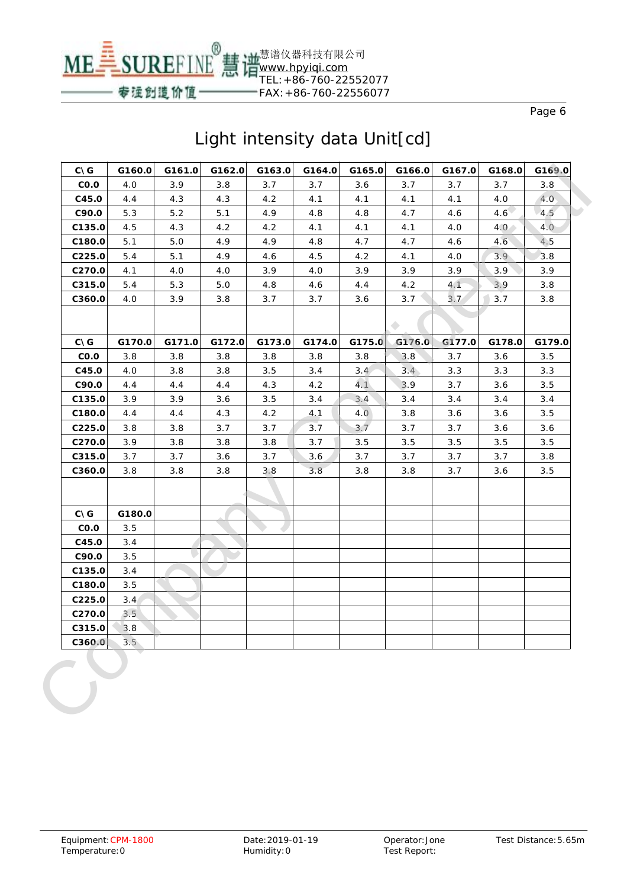

| <b>CNG</b>     | G160.0 | G161.0 | G162.0 | G163.0 | G164.0 | G165.0 | G166.0 | G167.0 | G168.0        | G169.0 |
|----------------|--------|--------|--------|--------|--------|--------|--------|--------|---------------|--------|
| CO.O           | 4.0    | 3.9    | 3.8    | 3.7    | 3.7    | 3.6    | 3.7    | 3.7    | 3.7           | 3.8    |
| C45.0          | 4.4    | 4.3    | 4.3    | 4.2    | 4.1    | 4.1    | 4.1    | 4.1    | 4.0           | 4.0    |
| C90.0          | 5.3    | 5.2    | 5.1    | 4.9    | 4.8    | 4.8    | 4.7    | 4.6    | $4.6^{\circ}$ | 4.5    |
| C135.0         | 4.5    | 4.3    | 4.2    | 4.2    | 4.1    | 4.1    | 4.1    | 4.0    | 4.0           | 4.0    |
| C180.0         | 5.1    | 5.0    | 4.9    | 4.9    | 4.8    | 4.7    | 4.7    | 4.6    | 4.6           | 4.5    |
| C225.0         | 5.4    | 5.1    | 4.9    | 4.6    | 4.5    | 4.2    | 4.1    | 4.0    | 3.9           | 3.8    |
| C270.0         | 4.1    | 4.0    | 4.0    | 3.9    | 4.0    | 3.9    | 3.9    | 3.9    | 3.9           | 3.9    |
| C315.0         | 5.4    | 5.3    | 5.0    | 4.8    | 4.6    | 4.4    | 4.2    | 4.1    | 3.9           | 3.8    |
| C360.0         | 4.0    | 3.9    | 3.8    | 3.7    | 3.7    | 3.6    | 3.7    | 3.7    | 3.7           | 3.8    |
|                |        |        |        |        |        |        |        |        |               |        |
|                |        |        |        |        |        |        |        |        |               |        |
| <b>CNG</b>     | G170.0 | G171.0 | G172.0 | G173.0 | G174.0 | G175.0 | G176.0 | G177.0 | G178.0        | G179.0 |
| CO.O           | 3.8    | 3.8    | 3.8    | 3.8    | 3.8    | 3.8    | 3.8    | 3.7    | 3.6           | 3.5    |
| C45.0          | 4.0    | 3.8    | 3.8    | 3.5    | 3.4    | 3.4    | 3.4    | 3.3    | 3.3           | 3.3    |
| C90.0          | 4.4    | 4.4    | 4.4    | 4.3    | 4.2    | 4.1    | 3.9    | 3.7    | 3.6           | 3.5    |
| C135.0         | 3.9    | 3.9    | 3.6    | 3.5    | 3.4    | 3.4    | 3.4    | 3.4    | 3.4           | 3.4    |
| C180.0         | 4.4    | 4.4    | 4.3    | 4.2    | 4.1    | 4.0    | 3.8    | 3.6    | 3.6           | 3.5    |
| C225.0         | 3.8    | 3.8    | 3.7    | 3.7    | 3.7    | 3.7    | 3.7    | 3.7    | 3.6           | 3.6    |
| C270.0         | 3.9    | 3.8    | 3.8    | 3.8    | 3.7    | 3.5    | 3.5    | 3.5    | 3.5           | 3.5    |
| C315.0         | 3.7    | 3.7    | 3.6    | 3.7    | 3.6    | 3.7    | 3.7    | 3.7    | 3.7           | 3.8    |
| C360.0         | 3.8    | 3.8    | 3.8    | 3.8    | 3.8    | 3.8    | 3.8    | 3.7    | 3.6           | 3.5    |
|                |        |        |        |        |        |        |        |        |               |        |
| $C\setminus G$ | G180.0 |        |        |        |        |        |        |        |               |        |
| CO.O           | 3.5    |        |        |        |        |        |        |        |               |        |
| C45.0          | 3.4    |        |        |        |        |        |        |        |               |        |
| C90.0          | 3.5    |        |        |        |        |        |        |        |               |        |
| C135.0         | 3.4    |        |        |        |        |        |        |        |               |        |
| C180.0         | 3.5    |        |        |        |        |        |        |        |               |        |
| C225.0         | 3.4    |        |        |        |        |        |        |        |               |        |
| C270.0         | 3.5    |        |        |        |        |        |        |        |               |        |
| C315.0         | 3.8    |        |        |        |        |        |        |        |               |        |
| C360.0         | 3.5    |        |        |        |        |        |        |        |               |        |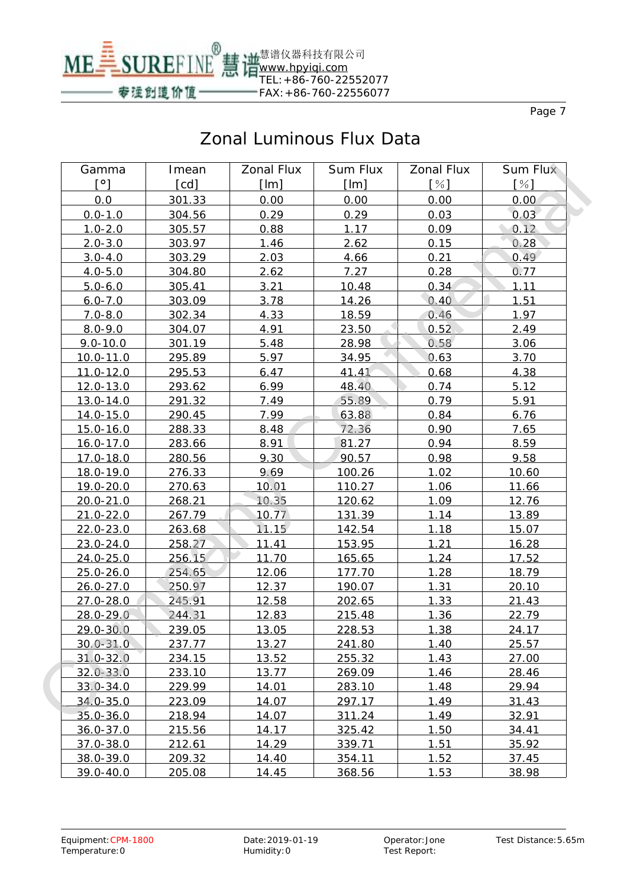

| Gamma         | Imean  | <b>Zonal Flux</b> | <b>Sum Flux</b> | <b>Zonal Flux</b> | Sum Flux |
|---------------|--------|-------------------|-----------------|-------------------|----------|
| [°]           | [cd]   | [Im]              | [Im]            | [%]               | [%]      |
| 0.0           | 301.33 | 0.00              | 0.00            | 0.00              | 0.00     |
| $0.0 - 1.0$   | 304.56 | 0.29              | 0.29            | 0.03              | 0.03     |
| $1.0 - 2.0$   | 305.57 | 0.88              | 1.17            | 0.09              | 0.12     |
| $2.0 - 3.0$   | 303.97 | 1.46              | 2.62            | 0.15              | 0.28     |
| $3.0 - 4.0$   | 303.29 | 2.03              | 4.66            | 0.21              | 0.49     |
| $4.0 - 5.0$   | 304.80 | 2.62              | 7.27            | 0.28              | 0.77     |
| $5.0 - 6.0$   | 305.41 | 3.21              | 10.48           | 0.34              | 1.11     |
| $6.0 - 7.0$   | 303.09 | 3.78              | 14.26           | 0.40              | 1.51     |
| $7.0 - 8.0$   | 302.34 | 4.33              | 18.59           | 0.46              | 1.97     |
| $8.0 - 9.0$   | 304.07 | 4.91              | 23.50           | 0.52              | 2.49     |
| $9.0 - 10.0$  | 301.19 | 5.48              | 28.98           | 0.58              | 3.06     |
| 10.0-11.0     | 295.89 | 5.97              | 34.95           | 0.63              | 3.70     |
| $11.0 - 12.0$ | 295.53 | 6.47              | 41.41           | 0.68              | 4.38     |
| 12.0-13.0     | 293.62 | 6.99              | 48.40           | 0.74              | 5.12     |
| $13.0 - 14.0$ | 291.32 | 7.49              | 55.89           | 0.79              | 5.91     |
| 14.0-15.0     | 290.45 | 7.99              | 63.88           | 0.84              | 6.76     |
| $15.0 - 16.0$ | 288.33 | 8.48              | 72.36           | 0.90              | 7.65     |
| $16.0 - 17.0$ | 283.66 | 8.91              | 81.27           | 0.94              | 8.59     |
| 17.0-18.0     | 280.56 | 9.30              | 90.57           | 0.98              | 9.58     |
| 18.0-19.0     | 276.33 | 9.69              | 100.26          | 1.02              | 10.60    |
| 19.0-20.0     | 270.63 | 10.01             | 110.27          | 1.06              | 11.66    |
| $20.0 - 21.0$ | 268.21 | 10.35             | 120.62          | 1.09              | 12.76    |
| $21.0 - 22.0$ | 267.79 | 10.77             | 131.39          | 1.14              | 13.89    |
| $22.0 - 23.0$ | 263.68 | 11.15             | 142.54          | 1.18              | 15.07    |
| 23.0-24.0     | 258.27 | 11.41             | 153.95          | 1.21              | 16.28    |
| $24.0 - 25.0$ | 256.15 | 11.70             | 165.65          | 1.24              | 17.52    |
| $25.0 - 26.0$ | 254.65 | 12.06             | 177.70          | 1.28              | 18.79    |
| $26.0 - 27.0$ | 250.97 | 12.37             | 190.07          | 1.31              | 20.10    |
| $27.0 - 28.0$ | 245.91 | 12.58             | 202.65          | 1.33              | 21.43    |
| 28.0-29.0     | 244.31 | 12.83             | 215.48          | 1.36              | 22.79    |
| $29.0 - 30.0$ | 239.05 | 13.05             | 228.53          | 1.38              | 24.17    |
| $30.0 - 31.0$ | 237.77 | 13.27             | 241.80          | 1.40              | 25.57    |
| $31.0 - 32.0$ | 234.15 | 13.52             | 255.32          | 1.43              | 27.00    |
| $32.0 - 33.0$ | 233.10 | 13.77             | 269.09          | 1.46              | 28.46    |
| $33.0 - 34.0$ | 229.99 | 14.01             | 283.10          | 1.48              | 29.94    |
| $34.0 - 35.0$ | 223.09 | 14.07             | 297.17          | 1.49              | 31.43    |
| $35.0 - 36.0$ | 218.94 | 14.07             | 311.24          | 1.49              | 32.91    |
| $36.0 - 37.0$ | 215.56 | 14.17             | 325.42          | 1.50              | 34.41    |
| 37.0-38.0     | 212.61 | 14.29             | 339.71          | 1.51              | 35.92    |
| 38.0-39.0     | 209.32 | 14.40             | 354.11          | 1.52              | 37.45    |
| 39.0-40.0     | 205.08 | 14.45             | 368.56          | 1.53              | 38.98    |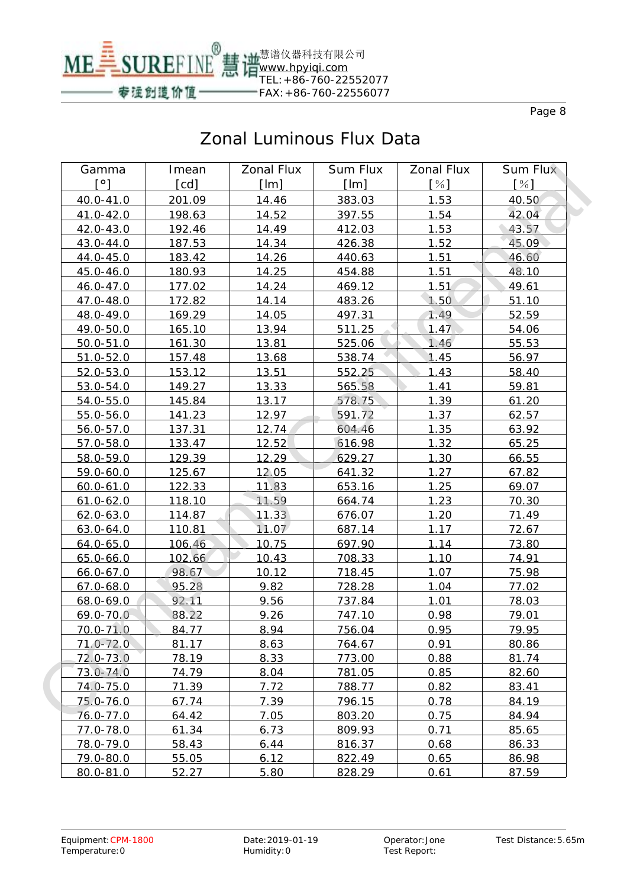

| Gamma         | Imean         | <b>Zonal Flux</b> | <b>Sum Flux</b> | <b>Zonal Flux</b> | <b>Sum Flux</b> |
|---------------|---------------|-------------------|-----------------|-------------------|-----------------|
| [°]           | [cd]          | [Im]              | [Im]            | [%]               | [%]             |
| 40.0-41.0     | 201.09        | 14.46             | 383.03          | 1.53              | 40.50           |
| 41.0-42.0     | 198.63        | 14.52             | 397.55          | 1.54              | 42.04           |
| 42.0-43.0     | 192.46        | 14.49             | 412.03          | 1.53              | 43.57           |
| 43.0-44.0     | 187.53        | 14.34             | 426.38          | 1.52              | 45.09           |
| 44.0-45.0     | 183.42        | 14.26             | 440.63          | 1.51              | 46.60           |
| 45.0-46.0     | 180.93        | 14.25             | 454.88          | 1.51              | 48.10           |
| 46.0-47.0     | 177.02        | 14.24             | 469.12          | 1.51              | 49.61           |
| 47.0-48.0     | 172.82        | 14.14             | 483.26          | 1.50              | 51.10           |
| 48.0-49.0     | 169.29        | 14.05             | 497.31          | 1.49              | 52.59           |
| 49.0-50.0     | <u>165.10</u> | 13.94             | 511.25          | 1.47              | 54.06           |
| $50.0 - 51.0$ | 161.30        | 13.81             | 525.06          | 1.46              | 55.53           |
| $51.0 - 52.0$ | 157.48        | 13.68             | 538.74          | 1.45              | 56.97           |
| $52.0 - 53.0$ | 153.12        | 13.51             | 552.25          | 1.43              | 58.40           |
| 53.0-54.0     | 149.27        | 13.33             | 565.58          | 1.41              | 59.81           |
| $54.0 - 55.0$ | 145.84        | 13.17             | 578.75          | 1.39              | 61.20           |
| 55.0-56.0     | 141.23        | 12.97             | 591.72          | 1.37              | 62.57           |
| 56.0-57.0     | 137.31        | 12.74             | 604.46          | 1.35              | 63.92           |
| 57.0-58.0     | 133.47        | 12.52             | 616.98          | 1.32              | 65.25           |
| 58.0-59.0     | 129.39        | 12.29             | 629.27          | 1.30              | 66.55           |
| $59.0 - 60.0$ | 125.67        | 12.05             | 641.32          | 1.27              | 67.82           |
| $60.0 - 61.0$ | 122.33        | 11.83             | 653.16          | 1.25              | 69.07           |
| $61.0 - 62.0$ | 118.10        | 11.59             | 664.74          | 1.23              | 70.30           |
| $62.0 - 63.0$ | 114.87        | 11.33             | 676.07          | 1.20              | 71.49           |
| $63.0 - 64.0$ | 110.81        | 11.07             | 687.14          | 1.17              | 72.67           |
| $64.0 - 65.0$ | 106.46        | 10.75             | 697.90          | 1.14              | 73.80           |
| $65.0 - 66.0$ | 102.66        | 10.43             | 708.33          | 1.10              | 74.91           |
| $66.0 - 67.0$ | 98.67         | 10.12             | 718.45          | 1.07              | 75.98           |
| $67.0 - 68.0$ | 95.28         | 9.82              | 728.28          | 1.04              | 77.02           |
| 68.0-69.0     | 92.11         | 9.56              | 737.84          | 1.01              | 78.03           |
| 69.0-70.0     | 88.22         | 9.26              | 747.10          | 0.98              | 79.01           |
| $70.0 - 71.0$ | 84.77         | 8.94              | 756.04          | 0.95              | 79.95           |
| $71.0 - 72.0$ | 81.17         | 8.63              | 764.67          | 0.91              | 80.86           |
| $72.0 - 73.0$ | 78.19         | 8.33              | 773.00          | 0.88              | 81.74           |
| $73.0 - 74.0$ | 74.79         | 8.04              | 781.05          | 0.85              | 82.60           |
| 74.0-75.0     | 71.39         | 7.72              | 788.77          | 0.82              | 83.41           |
| 75.0-76.0     | 67.74         | 7.39              | 796.15          | 0.78              | 84.19           |
| 76.0-77.0     | 64.42         | 7.05              | 803.20          | 0.75              | 84.94           |
| 77.0-78.0     | 61.34         | 6.73              | 809.93          | 0.71              | 85.65           |
| 78.0-79.0     | 58.43         | 6.44              | 816.37          | 0.68              | 86.33           |
| 79.0-80.0     | 55.05         | 6.12              | 822.49          | 0.65              | 86.98           |
| 80.0-81.0     | 52.27         | 5.80              | 828.29          | 0.61              | 87.59           |
|               |               |                   |                 |                   |                 |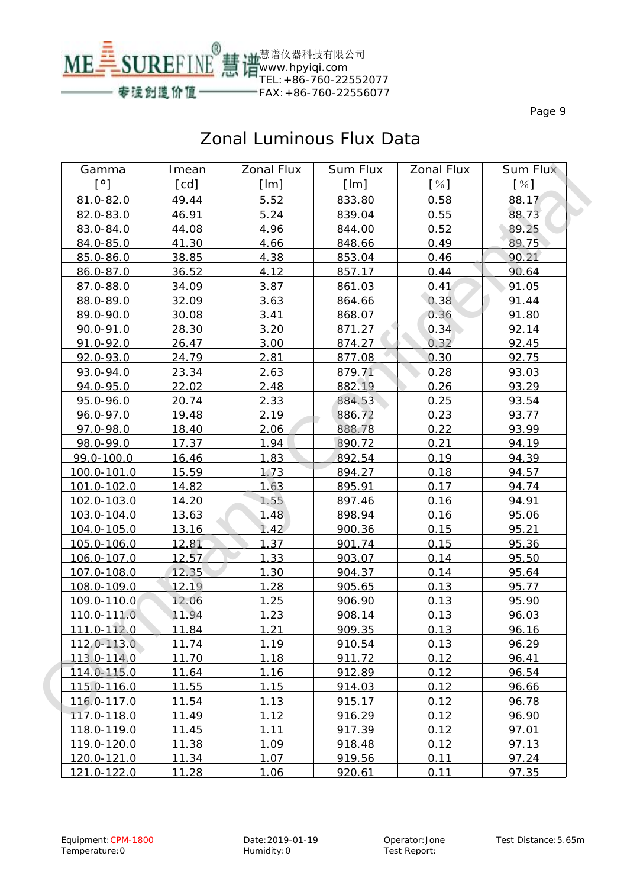

| Gamma                | Imean | <b>Zonal Flux</b> | <b>Sum Flux</b> | <b>Zonal Flux</b> | Sum Flux |
|----------------------|-------|-------------------|-----------------|-------------------|----------|
| $\mathsf{I}^{\circ}$ | [cd]  | [Im]              | [Im]            | [%]               | [%]      |
| 81.0-82.0            | 49.44 | 5.52              | 833.80          | 0.58              | 88.17    |
| 82.0-83.0            | 46.91 | 5.24              | 839.04          | 0.55              | 88.73    |
| 83.0-84.0            | 44.08 | 4.96              | 844.00          | 0.52              | 89.25    |
| 84.0-85.0            | 41.30 | 4.66              | 848.66          | 0.49              | 89.75    |
| 85.0-86.0            | 38.85 | 4.38              | 853.04          | 0.46              | 90.21    |
| 86.0-87.0            | 36.52 | 4.12              | 857.17          | 0.44              | 90.64    |
| 87.0-88.0            | 34.09 | 3.87              | 861.03          | 0.41              | 91.05    |
| 88.0-89.0            | 32.09 | 3.63              | 864.66          | 0.38              | 91.44    |
| 89.0-90.0            | 30.08 | 3.41              | 868.07          | 0.36              | 91.80    |
| 90.0-91.0            | 28.30 | 3.20              | 871.27          | 0.34              | 92.14    |
| $91.0 - 92.0$        | 26.47 | 3.00              | 874.27          | 0.32              | 92.45    |
| 92.0-93.0            | 24.79 | 2.81              | 877.08          | 0.30              | 92.75    |
| 93.0-94.0            | 23.34 | 2.63              | 879.71          | 0.28              | 93.03    |
| 94.0-95.0            | 22.02 | 2.48              | 882.19          | 0.26              | 93.29    |
| 95.0-96.0            | 20.74 | 2.33              | 884.53          | 0.25              | 93.54    |
| 96.0-97.0            | 19.48 | 2.19              | 886.72          | 0.23              | 93.77    |
| 97.0-98.0            | 18.40 | 2.06              | 888.78          | 0.22              | 93.99    |
| 98.0-99.0            | 17.37 | 1.94              | 890.72          | 0.21              | 94.19    |
| 99.0-100.0           | 16.46 | 1.83              | 892.54          | 0.19              | 94.39    |
| 100.0-101.0          | 15.59 | 1.73              | 894.27          | 0.18              | 94.57    |
| 101.0-102.0          | 14.82 | 1.63              | 895.91          | 0.17              | 94.74    |
| 102.0-103.0          | 14.20 | 1.55              | 897.46          | 0.16              | 94.91    |
| 103.0-104.0          | 13.63 | 1.48              | 898.94          | 0.16              | 95.06    |
| 104.0-105.0          | 13.16 | 1.42              | 900.36          | 0.15              | 95.21    |
| 105.0-106.0          | 12.81 | 1.37              | 901.74          | 0.15              | 95.36    |
| 106.0-107.0          | 12.57 | 1.33              | 903.07          | 0.14              | 95.50    |
| 107.0-108.0          | 12.35 | 1.30              | 904.37          | 0.14              | 95.64    |
| 108.0-109.0          | 12.19 | 1.28              | 905.65          | 0.13              | 95.77    |
| 109.0-110.0          | 12.06 | 1.25              | 906.90          | 0.13              | 95.90    |
| 110.0-111.0          | 11.94 | 1.23              | 908.14          | 0.13              | 96.03    |
| 111.0-112.0          | 11.84 | 1.21              | 909.35          | 0.13              | 96.16    |
| 112.0-113.0          | 11.74 | 1.19              | 910.54          | 0.13              | 96.29    |
| 113.0-114.0          | 11.70 | 1.18              | 911.72          | 0.12              | 96.41    |
| 114.0-115.0          | 11.64 | 1.16              | 912.89          | 0.12              | 96.54    |
| 115.0-116.0          | 11.55 | 1.15              | 914.03          | 0.12              | 96.66    |
| 116.0-117.0          | 11.54 | 1.13              | 915.17          | 0.12              | 96.78    |
| 117.0-118.0          | 11.49 | 1.12              | 916.29          | 0.12              | 96.90    |
| 118.0-119.0          | 11.45 | 1.11              | 917.39          | 0.12              | 97.01    |
| 119.0-120.0          | 11.38 | 1.09              | 918.48          | 0.12              | 97.13    |
| 120.0-121.0          | 11.34 | 1.07              | 919.56          | 0.11              | 97.24    |
| 121.0-122.0          | 11.28 | 1.06              | 920.61          | 0.11              | 97.35    |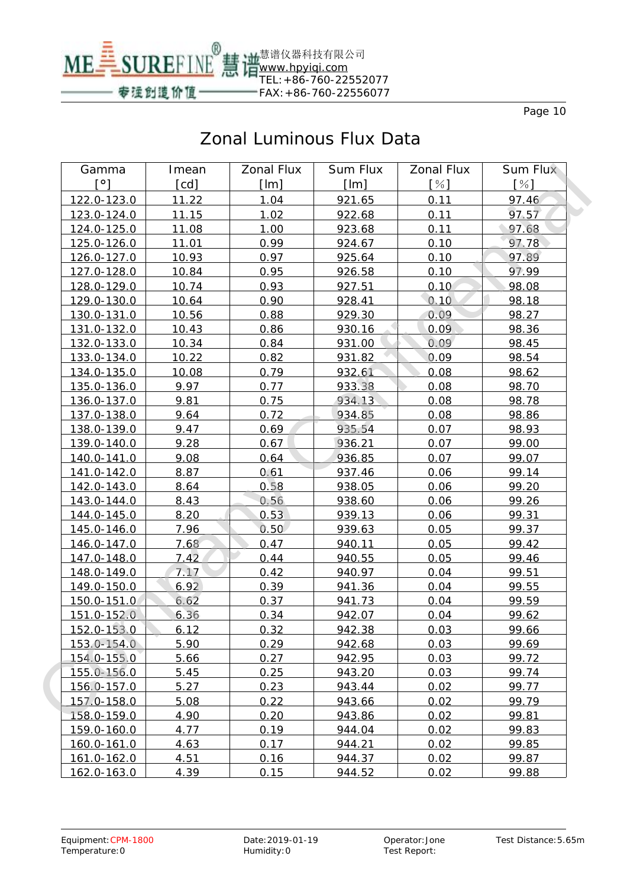

| Gamma       | Imean        | <b>Zonal Flux</b> | Sum Flux | <b>Zonal Flux</b> | <b>Sum Flux</b> |
|-------------|--------------|-------------------|----------|-------------------|-----------------|
| [°]         | [cd]         | [Im]              | [Im]     | [%]               | $[\%]$          |
| 122.0-123.0 | 11.22        | 1.04              | 921.65   | 0.11              | 97.46           |
| 123.0-124.0 | 11.15        | 1.02              | 922.68   | 0.11              | 97.57           |
| 124.0-125.0 | 11.08        | 1.00              | 923.68   | 0.11              | 97.68           |
| 125.0-126.0 | <u>11.01</u> | 0.99              | 924.67   | 0.10              | 97.78           |
| 126.0-127.0 | 10.93        | 0.97              | 925.64   | 0.10              | 97.89           |
| 127.0-128.0 | 10.84        | 0.95              | 926.58   | 0.10              | 97.99           |
| 128.0-129.0 | 10.74        | 0.93              | 927.51   | 0.10              | 98.08           |
| 129.0-130.0 | 10.64        | 0.90              | 928.41   | 0.10              | 98.18           |
| 130.0-131.0 | 10.56        | 0.88              | 929.30   | 0.09              | 98.27           |
| 131.0-132.0 | 10.43        | 0.86              | 930.16   | 0.09              | 98.36           |
| 132.0-133.0 | 10.34        | 0.84              | 931.00   | 0.09              | 98.45           |
| 133.0-134.0 | 10.22        | 0.82              | 931.82   | 0.09              | 98.54           |
| 134.0-135.0 | 10.08        | 0.79              | 932.61   | 0.08              | 98.62           |
| 135.0-136.0 | 9.97         | 0.77              | 933.38   | 0.08              | 98.70           |
| 136.0-137.0 | 9.81         | 0.75              | 934.13   | 0.08              | 98.78           |
| 137.0-138.0 | 9.64         | 0.72              | 934.85   | 0.08              | 98.86           |
| 138.0-139.0 | 9.47         | 0.69              | 935.54   | 0.07              | 98.93           |
| 139.0-140.0 | 9.28         | 0.67              | 936.21   | 0.07              | 99.00           |
| 140.0-141.0 | 9.08         | 0.64              | 936.85   | 0.07              | 99.07           |
| 141.0-142.0 | 8.87         | 0.61              | 937.46   | 0.06              | 99.14           |
| 142.0-143.0 | 8.64         | 0.58              | 938.05   | 0.06              | 99.20           |
| 143.0-144.0 | 8.43         | 0.56              | 938.60   | 0.06              | 99.26           |
| 144.0-145.0 | 8.20         | 0.53              | 939.13   | 0.06              | 99.31           |
| 145.0-146.0 | 7.96         | 0.50              | 939.63   | 0.05              | 99.37           |
| 146.0-147.0 | 7.68         | 0.47              | 940.11   | 0.05              | 99.42           |
| 147.0-148.0 | 7.42         | 0.44              | 940.55   | 0.05              | 99.46           |
| 148.0-149.0 | 7.17         | 0.42              | 940.97   | 0.04              | 99.51           |
| 149.0-150.0 | 6.92         | 0.39              | 941.36   | 0.04              | 99.55           |
| 150.0-151.0 | 6.62         | 0.37              | 941.73   | 0.04              | 99.59           |
| 151.0-152.0 | 6.36         | 0.34              | 942.07   | 0.04              | 99.62           |
| 152.0-153.0 | 6.12         | 0.32              | 942.38   | 0.03              | 99.66           |
| 153.0-154.0 | 5.90         | 0.29              | 942.68   | 0.03              | 99.69           |
| 154.0-155.0 | 5.66         | 0.27              | 942.95   | 0.03              | 99.72           |
| 155.0-156.0 | 5.45         | 0.25              | 943.20   | 0.03              | 99.74           |
| 156.0-157.0 | 5.27         | 0.23              | 943.44   | 0.02              | 99.77           |
| 157.0-158.0 | 5.08         | 0.22              | 943.66   | 0.02              | 99.79           |
| 158.0-159.0 | 4.90         | 0.20              | 943.86   | 0.02              | 99.81           |
| 159.0-160.0 | 4.77         | 0.19              | 944.04   | 0.02              | 99.83           |
| 160.0-161.0 | 4.63         | 0.17              | 944.21   | 0.02              | 99.85           |
| 161.0-162.0 | 4.51         | 0.16              | 944.37   | 0.02              | 99.87           |
| 162.0-163.0 | 4.39         | 0.15              | 944.52   | 0.02              | 99.88           |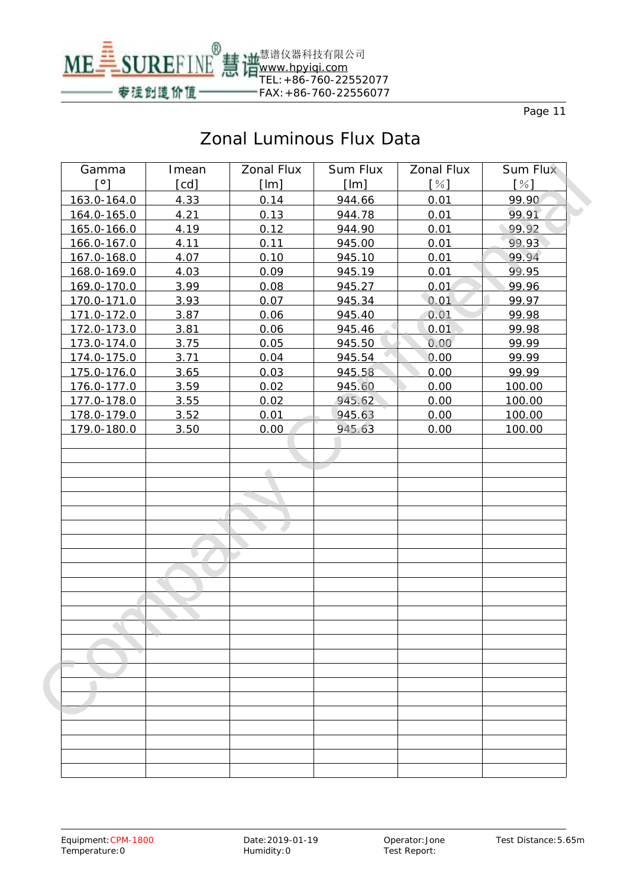

| Gamma       | Imean             | <b>Zonal Flux</b> | <b>Sum Flux</b> | <b>Zonal Flux</b> | <b>Sum Flux</b> |
|-------------|-------------------|-------------------|-----------------|-------------------|-----------------|
| [°]         | $[{\mathsf{cd}}]$ | [Im]              | [Im]            | [%]               | [%]             |
| 163.0-164.0 | 4.33              | 0.14              | 944.66          | 0.01              | 99.90           |
| 164.0-165.0 | 4.21              | 0.13              | 944.78          | 0.01              | 99.91           |
| 165.0-166.0 | 4.19              | 0.12              | 944.90          | 0.01              | 99.92           |
| 166.0-167.0 | 4.11              | 0.11              | 945.00          | 0.01              | 99.93           |
| 167.0-168.0 | 4.07              | 0.10              | 945.10          | 0.01              | 99.94           |
| 168.0-169.0 | 4.03              | 0.09              | 945.19          | 0.01              | 99.95           |
| 169.0-170.0 | 3.99              | 0.08              | 945.27          | 0.01              | 99.96           |
| 170.0-171.0 | 3.93              | 0.07              | 945.34          | 0.01              | 99.97           |
| 171.0-172.0 | 3.87              | 0.06              | 945.40          | 0.01              | 99.98           |
| 172.0-173.0 | 3.81              | 0.06              | 945.46          | 0.01              | 99.98           |
| 173.0-174.0 | 3.75              | 0.05              | 945.50          | 0.00              | 99.99           |
| 174.0-175.0 | 3.71              | 0.04              | 945.54          | 0.00              | 99.99           |
| 175.0-176.0 | 3.65              | 0.03              | 945.58          | 0.00              | 99.99           |
| 176.0-177.0 | 3.59              | 0.02              | 945.60          | 0.00              | 100.00          |
| 177.0-178.0 | 3.55              | 0.02              | 945.62          | 0.00              | 100.00          |
| 178.0-179.0 | 3.52              | 0.01              | 945.63          | 0.00              | 100.00          |
| 179.0-180.0 | 3.50              | 0.00              | 945.63          | 0.00              | 100.00          |
|             |                   |                   |                 |                   |                 |
|             |                   |                   |                 |                   |                 |
|             |                   |                   |                 |                   |                 |
|             |                   |                   |                 |                   |                 |
|             |                   |                   |                 |                   |                 |
|             |                   |                   |                 |                   |                 |
|             |                   |                   |                 |                   |                 |
|             |                   |                   |                 |                   |                 |
|             |                   |                   |                 |                   |                 |
|             |                   |                   |                 |                   |                 |
|             |                   |                   |                 |                   |                 |
|             |                   |                   |                 |                   |                 |
|             |                   |                   |                 |                   |                 |
|             |                   |                   |                 |                   |                 |
|             |                   |                   |                 |                   |                 |
|             |                   |                   |                 |                   |                 |
|             |                   |                   |                 |                   |                 |
|             |                   |                   |                 |                   |                 |
|             |                   |                   |                 |                   |                 |
|             |                   |                   |                 |                   |                 |
|             |                   |                   |                 |                   |                 |
|             |                   |                   |                 |                   |                 |
|             |                   |                   |                 |                   |                 |
|             |                   |                   |                 |                   |                 |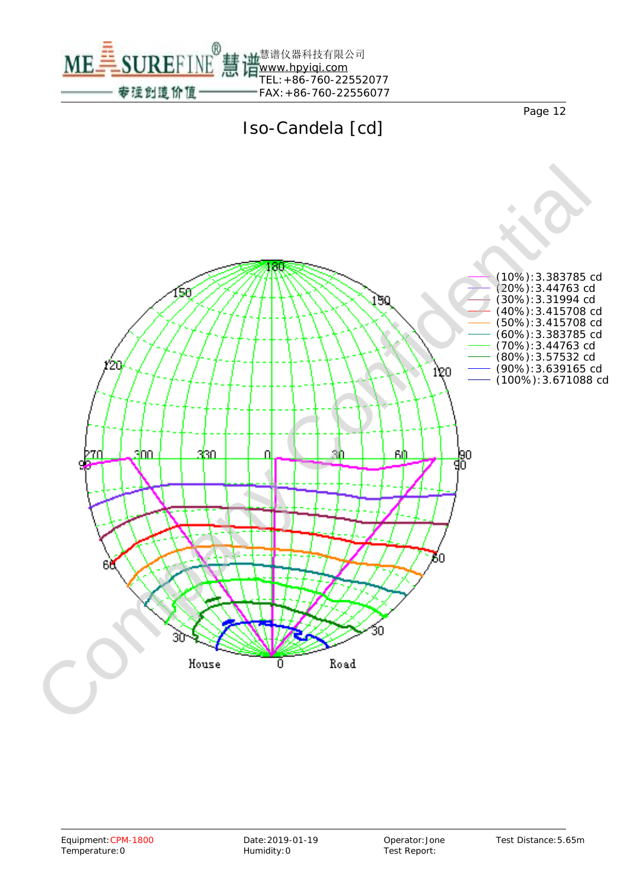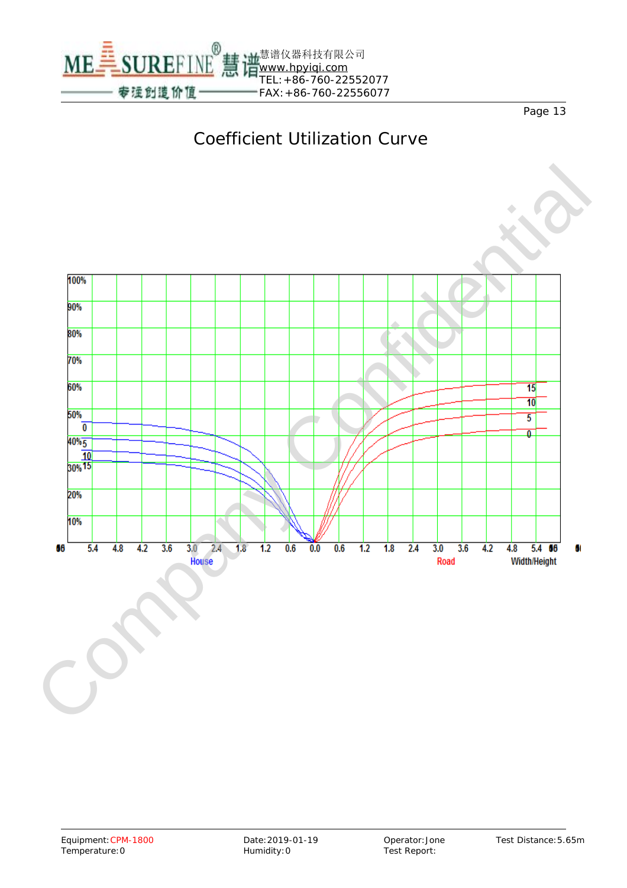

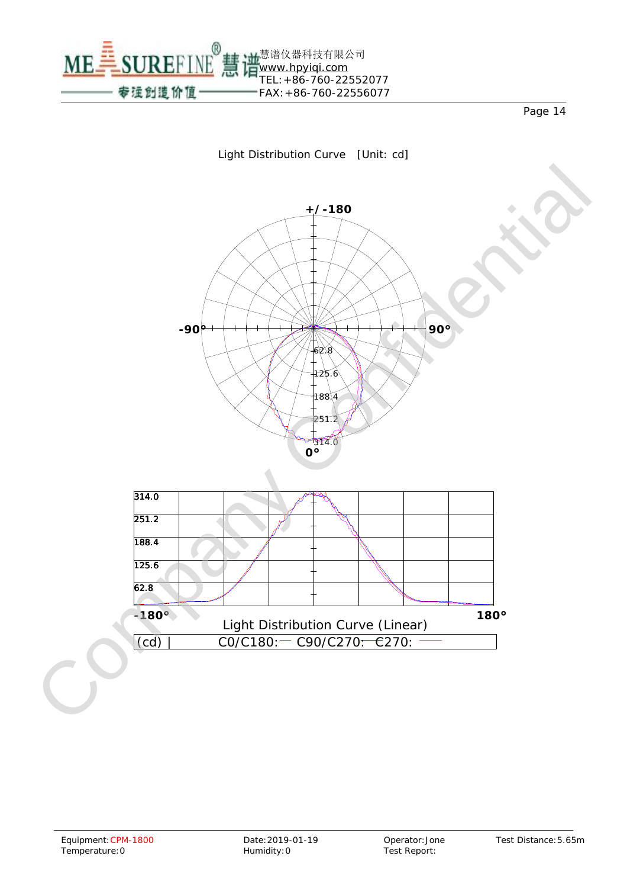ME SUREFINE 慧谱仪器科技有限公司 [www.hpyiqi.com](http://www.hpyiqi.com) TEL:+86-760-22552077 专运创造价值 FAX:+86-760-22556077

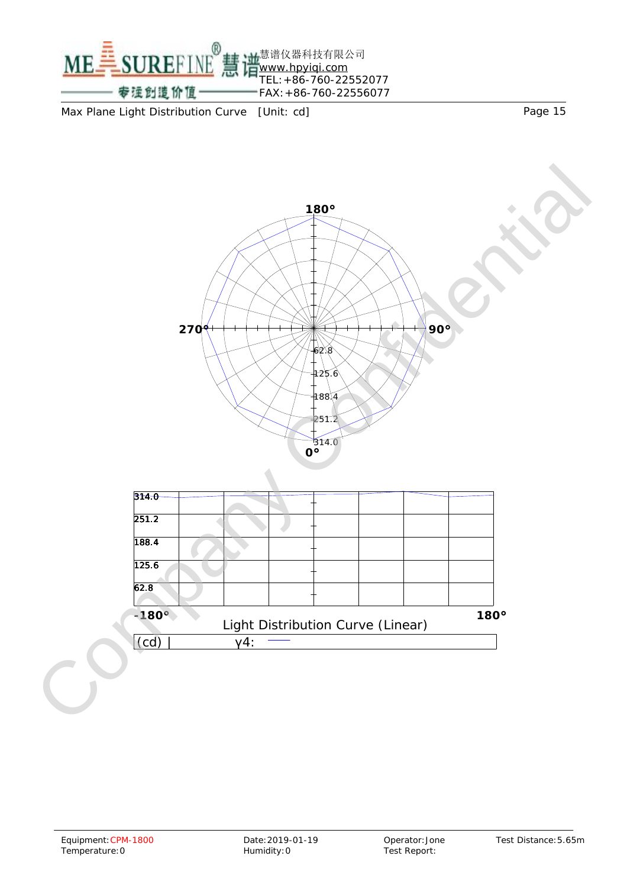

Max Plane Light Distribution Curve [Unit: cd] Max Plane Light Distribution Curve [Unit: cd]



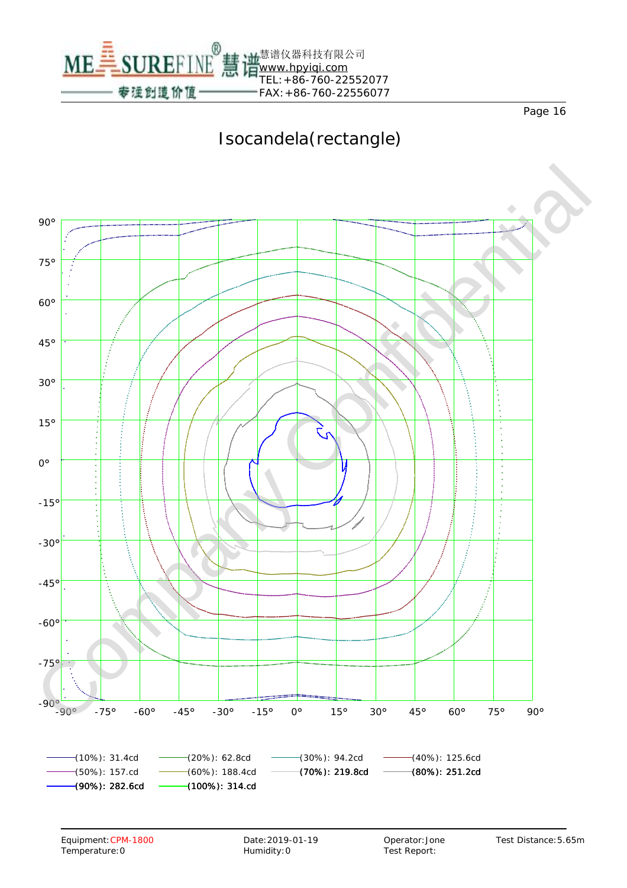

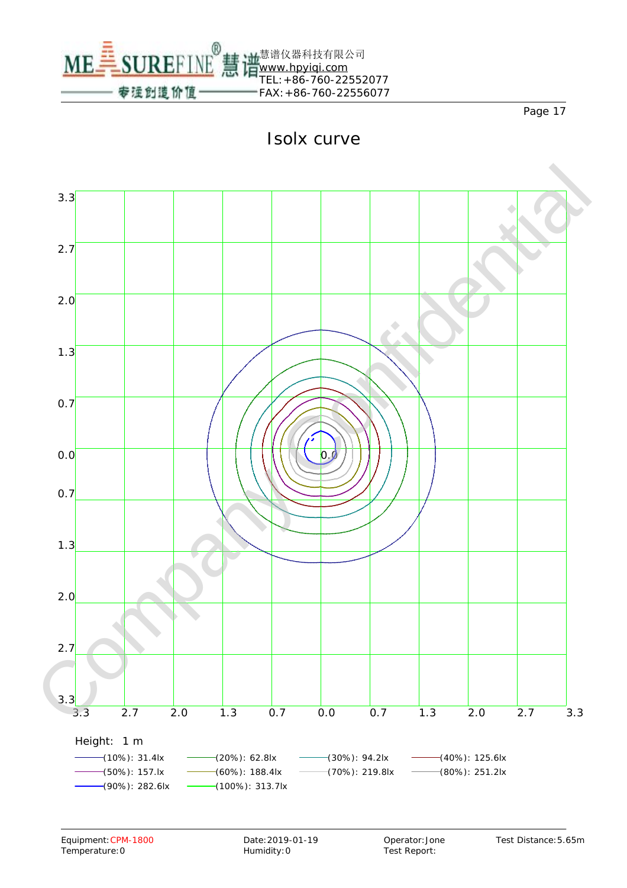

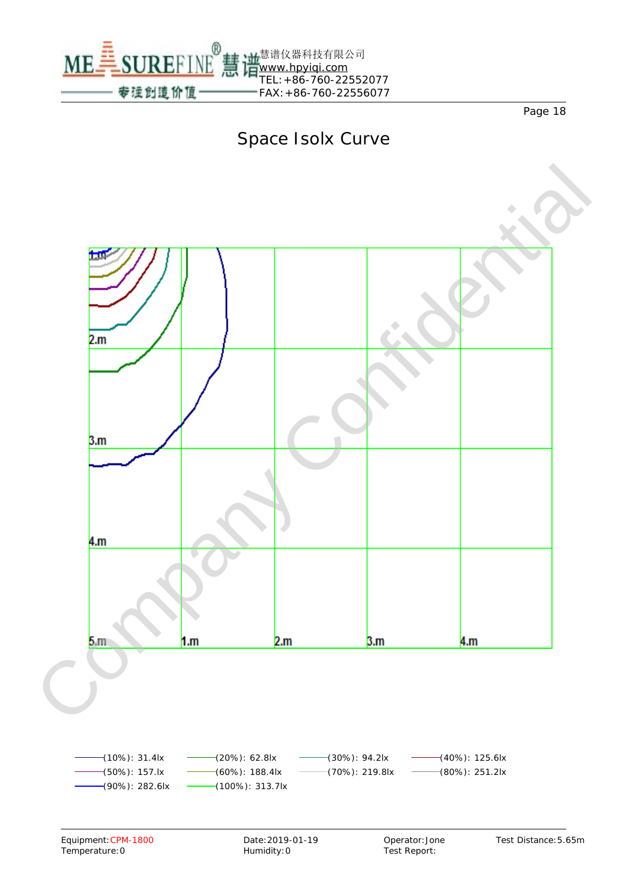

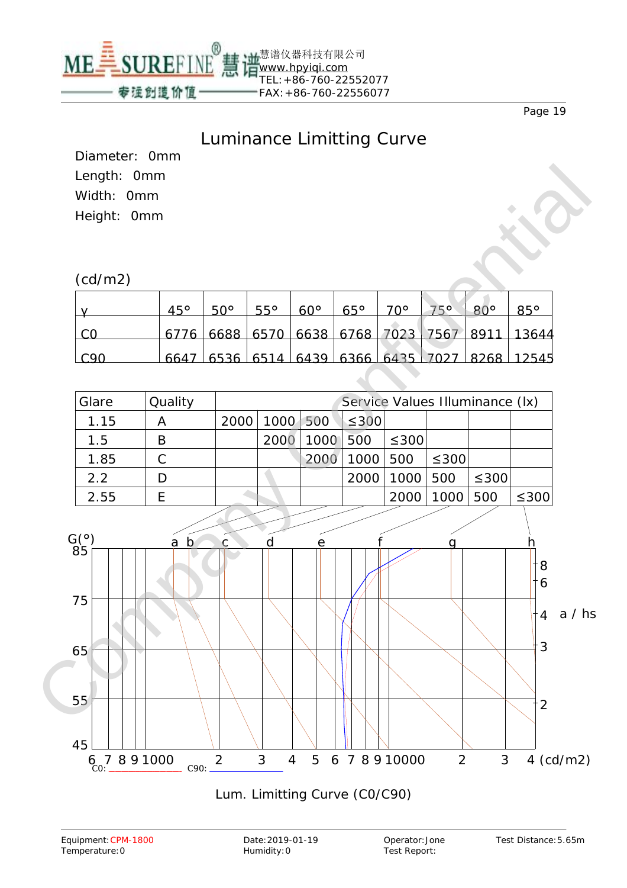

#### Luminance Limitting Curve

Diameter: 0mm Length: 0mm Width: 0mm Height: 0mm

#### (cd/m2)

|       | 45° | $50^\circ$ | $55^\circ$ | $60^{\circ}$ | $65^\circ$ | 70° | <b>ROP</b> |                                               |
|-------|-----|------------|------------|--------------|------------|-----|------------|-----------------------------------------------|
|       |     |            |            |              |            |     |            | 6776 6688 6570 6638 6768 7023 7567 8911 13644 |
| ⊧ ∈໑∩ |     |            |            |              |            |     |            | 6647 6536 6514 6439 6366 6435 7027 8268 12545 |





#### Lum. Limitting Curve (C0/C90)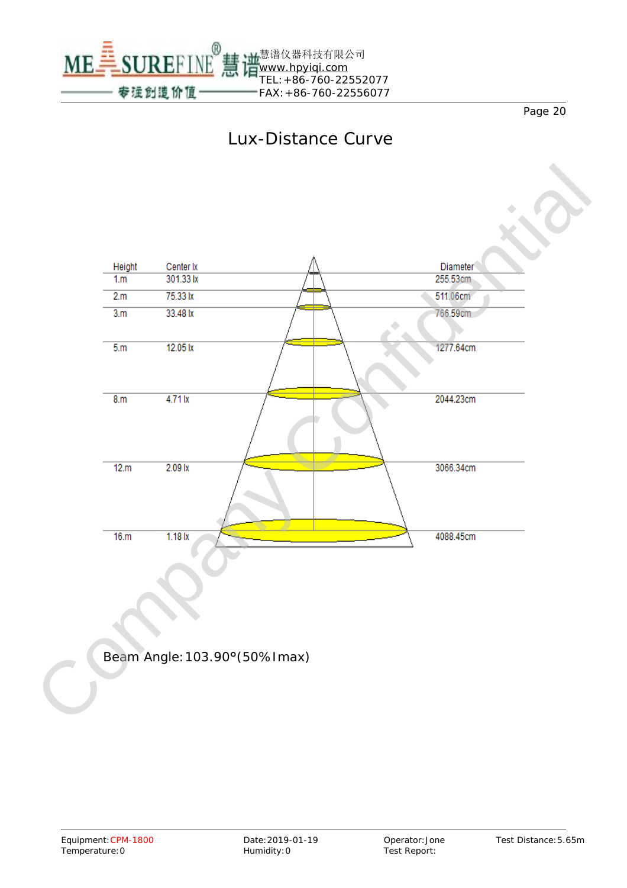ME SUREFINE [www.hpyiqi.com](http://www.hpyiqi.com) TEL:+86-760-22552077 专注创造价值 FAX:+86-760-22556077

Page 20



慧谱仪器科技有限公司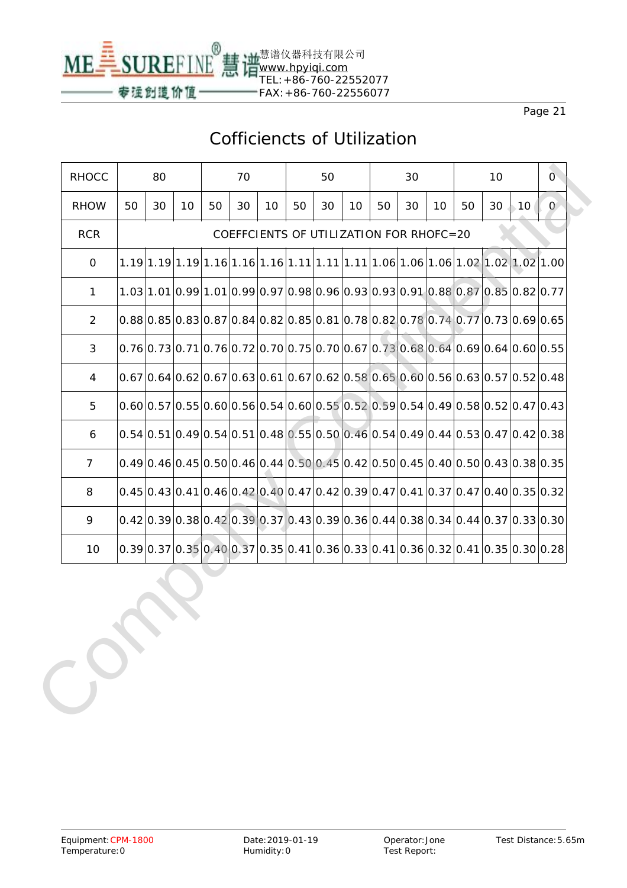

# Cofficiencts of Utilization

| <b>RHOCC</b>   |    | 80 |                                                                                   |    | 70 |    |    | 50 |    |    | 30                                      |    |    | 10 |    | $\mathbf{O}$ |
|----------------|----|----|-----------------------------------------------------------------------------------|----|----|----|----|----|----|----|-----------------------------------------|----|----|----|----|--------------|
| <b>RHOW</b>    | 50 | 30 | 10                                                                                | 50 | 30 | 10 | 50 | 30 | 10 | 50 | 30                                      | 10 | 50 | 30 | 10 | $\mathbf{O}$ |
| <b>RCR</b>     |    |    |                                                                                   |    |    |    |    |    |    |    | COEFFCIENTS OF UTILIZATION FOR RHOFC=20 |    |    |    |    |              |
| 0              |    |    |                                                                                   |    |    |    |    |    |    |    |                                         |    |    |    |    |              |
| $\mathbf{1}$   |    |    | $1.03 1.01 0.99 1.01 0.99 0.97 0.98 0.96 0.93 0.93 0.91 0.88 0.87 0.85 0.82 0.77$ |    |    |    |    |    |    |    |                                         |    |    |    |    |              |
| $\overline{2}$ |    |    | $0.88 0.85 0.83 0.87 0.84 0.82 0.85 0.81 0.78 0.82 0.78 0.74 0.77 0.73 0.69 0.65$ |    |    |    |    |    |    |    |                                         |    |    |    |    |              |
| 3              |    |    | $0.76 0.73 0.71 0.76 0.72 0.70 0.75 0.70 0.67 0.73 0.68 0.64 0.69 0.64 0.60 0.55$ |    |    |    |    |    |    |    |                                         |    |    |    |    |              |
| 4              |    |    | $0.67 0.64 0.62 0.67 0.63 0.61 0.67 0.62 0.58 0.65 0.60 0.56 0.63 0.57 0.52 0.48$ |    |    |    |    |    |    |    |                                         |    |    |    |    |              |
| 5              |    |    | $0.60 0.57 0.55 0.60 0.56 0.54 0.60 0.55 0.52 0.59 0.54 0.49 0.58 0.52 0.47 0.43$ |    |    |    |    |    |    |    |                                         |    |    |    |    |              |
| 6              |    |    | $0.54 0.51 0.49 0.54 0.51 0.48 0.55 0.50 0.46 0.54 0.49 0.44 0.53 0.47 0.42 0.38$ |    |    |    |    |    |    |    |                                         |    |    |    |    |              |
| $\overline{7}$ |    |    | $0.49 0.46 0.45 0.50 0.46 0.44 0.50 0.45 0.42 0.50 0.45 0.40 0.50 0.43 0.38 0.35$ |    |    |    |    |    |    |    |                                         |    |    |    |    |              |
| 8              |    |    | $0.45 0.43 0.41 0.46 0.42 0.40 0.47 0.42 0.39 0.47 0.41 0.37 0.47 0.40 0.35 0.32$ |    |    |    |    |    |    |    |                                         |    |    |    |    |              |
| 9              |    |    | $0.42 0.39 0.38 0.42 0.39 0.37 0.43 0.39 0.36 0.44 0.38 0.34 0.44 0.37 0.33 0.30$ |    |    |    |    |    |    |    |                                         |    |    |    |    |              |
| 10             |    |    | $0.39 0.37 0.35 0.40 0.37 0.35 0.41 0.36 0.33 0.41 0.36 0.32 0.41 0.35 0.30 0.28$ |    |    |    |    |    |    |    |                                         |    |    |    |    |              |
|                |    |    |                                                                                   |    |    |    |    |    |    |    |                                         |    |    |    |    |              |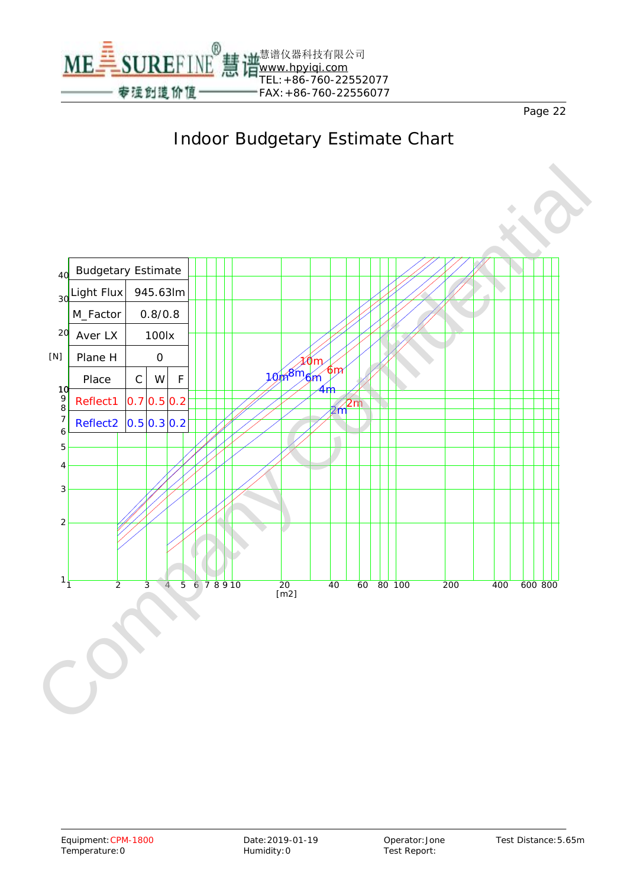